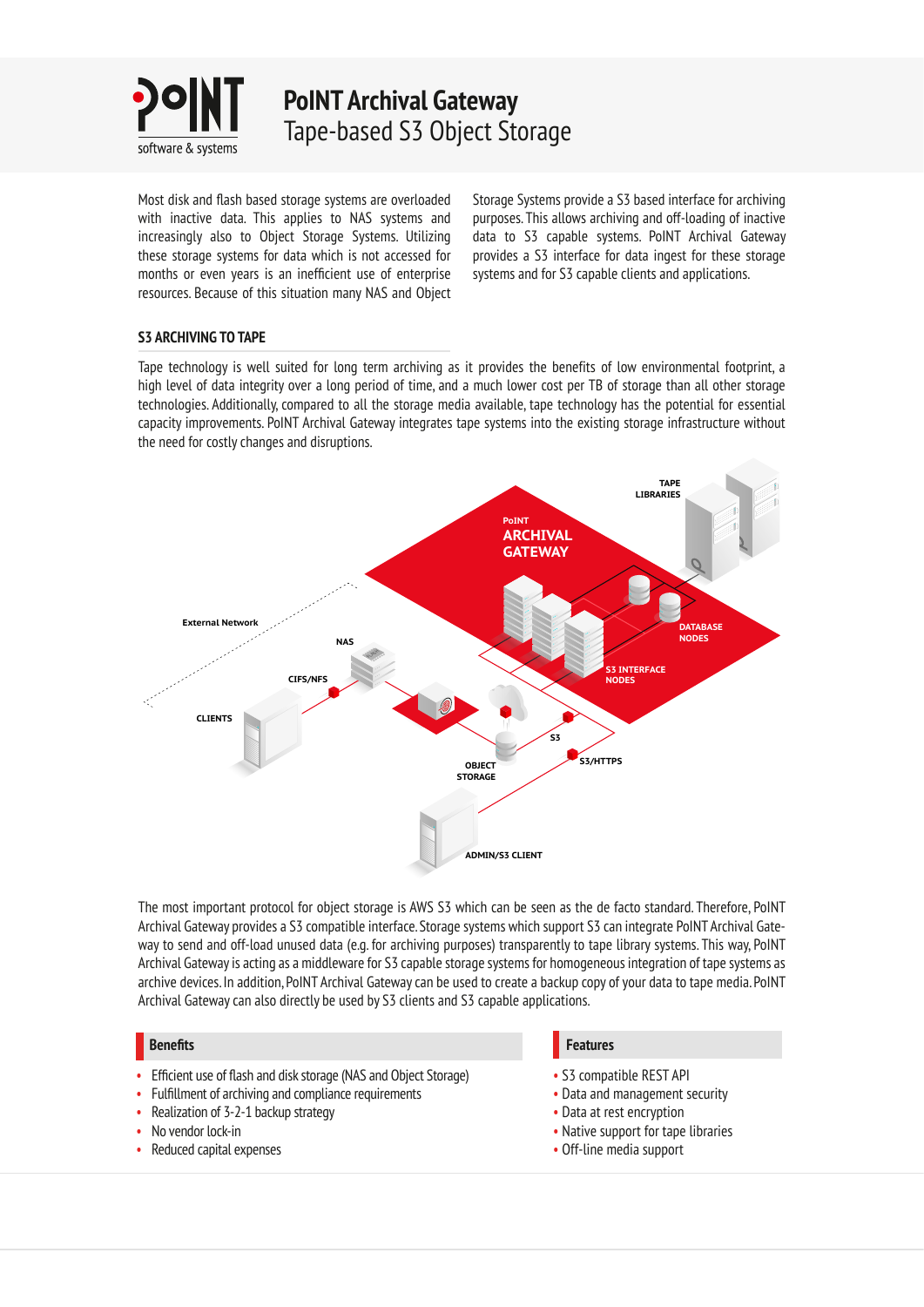

**PoINT Archival Gateway** Tape-based S3 Object Storage

Most disk and flash based storage systems are overloaded with inactive data. This applies to NAS systems and increasingly also to Object Storage Systems. Utilizing these storage systems for data which is not accessed for months or even years is an inefficient use of enterprise resources. Because of this situation many NAS and Object

Storage Systems provide a S3 based interface for archiving purposes. This allows archiving and off-loading of inactive data to S3 capable systems. PoINT Archival Gateway provides a S3 interface for data ingest for these storage systems and for S3 capable clients and applications.

# **S3 ARCHIVING TO TAPE**

Tape technology is well suited for long term archiving as it provides the benefits of low environmental footprint, a high level of data integrity over a long period of time, and a much lower cost per TB of storage than all other storage technologies. Additionally, compared to all the storage media available, tape technology has the potential for essential capacity improvements. PoINT Archival Gateway integrates tape systems into the existing storage infrastructure without the need for costly changes and disruptions.



The most important protocol for object storage is AWS S3 which can be seen as the de facto standard. Therefore, PoINT Archival Gateway provides a S3 compatible interface. Storage systems which support S3 can integrate PoINT Archival Gateway to send and off-load unused data (e.g. for archiving purposes) transparently to tape library systems. This way, PoINT Archival Gateway is acting as a middleware for S3 capable storage systems for homogeneous integration of tape systems as archive devices. In addition, PoINT Archival Gateway can be used to create a backup copy of your data to tape media. PoINT Archival Gateway can also directly be used by S3 clients and S3 capable applications.

# **Benefits**

- Efficient use of flash and disk storage (NAS and Object Storage)
- Fulfillment of archiving and compliance requirements
- Realization of 3-2-1 backup strategy
- No vendor lock-in
- Reduced capital expenses

# **Features**

- S3 compatible REST API
- Data and management security
- Data at rest encryption
- Native support for tape libraries
- Off-line media support